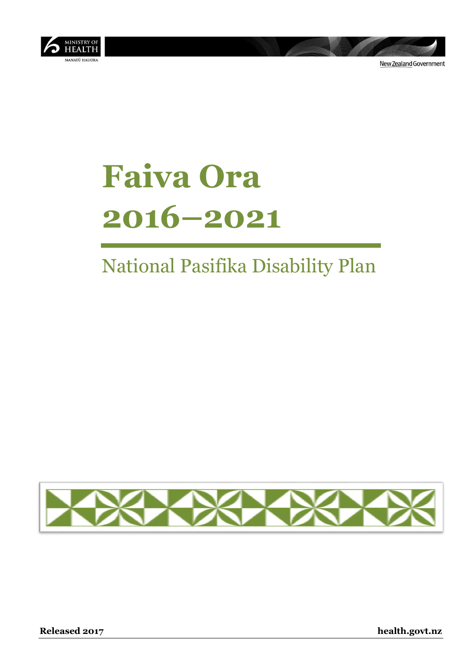

New Zealand Government

# **Faiva Ora 2016–2021**

## National Pasifika Disability Plan



**Released 2017 health.govt.nz**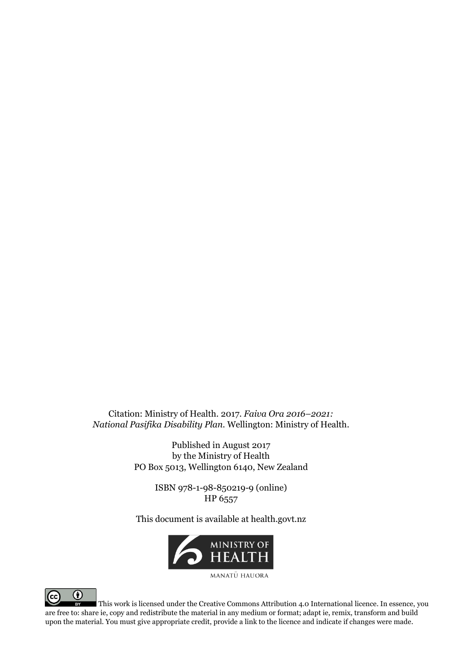Citation: Ministry of Health. 2017. *Faiva Ora 2016–2021: National Pasifika Disability Plan*. Wellington: Ministry of Health.

> Published in August 2017 by the Ministry of Health PO Box 5013, Wellington 6140, New Zealand

> > ISBN 978-1-98-850219-9 (online) HP 6557

This document is available at health.govt.nz



MANATU HAUORA



This work is licensed under the Creative Commons Attribution 4.0 International licence. In essence, you are free to: share ie, copy and redistribute the material in any medium or format; adapt ie, remix, transform and build upon the material. You must give appropriate credit, provide a link to the licence and indicate if changes were made.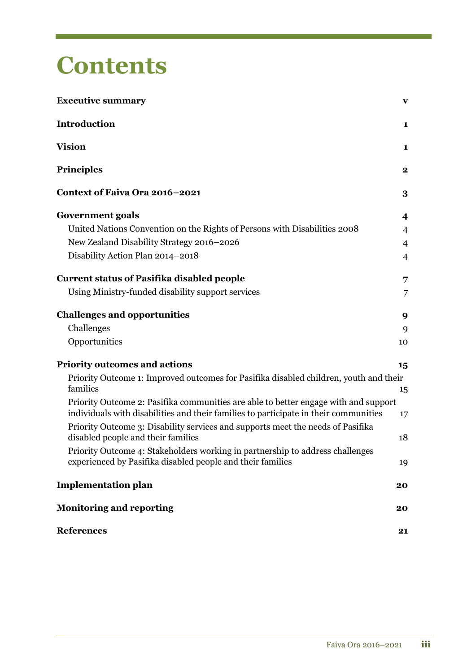## **Contents**

| <b>Executive summary</b>                                                                                                                                                    | $\mathbf{v}$   |
|-----------------------------------------------------------------------------------------------------------------------------------------------------------------------------|----------------|
| Introduction                                                                                                                                                                | 1              |
| <b>Vision</b>                                                                                                                                                               | 1              |
| <b>Principles</b>                                                                                                                                                           | $\bf{2}$       |
| Context of Faiva Ora 2016-2021                                                                                                                                              | 3              |
| <b>Government goals</b>                                                                                                                                                     | 4              |
| United Nations Convention on the Rights of Persons with Disabilities 2008                                                                                                   | $\overline{4}$ |
| New Zealand Disability Strategy 2016-2026                                                                                                                                   | $\overline{4}$ |
| Disability Action Plan 2014-2018                                                                                                                                            | $\overline{4}$ |
| <b>Current status of Pasifika disabled people</b>                                                                                                                           | 7              |
| Using Ministry-funded disability support services                                                                                                                           | $\overline{7}$ |
| <b>Challenges and opportunities</b>                                                                                                                                         | 9              |
| Challenges                                                                                                                                                                  | 9              |
| Opportunities                                                                                                                                                               | 10             |
| <b>Priority outcomes and actions</b>                                                                                                                                        | 15             |
| Priority Outcome 1: Improved outcomes for Pasifika disabled children, youth and their<br>families                                                                           | 15             |
| Priority Outcome 2: Pasifika communities are able to better engage with and support<br>individuals with disabilities and their families to participate in their communities | 17             |
| Priority Outcome 3: Disability services and supports meet the needs of Pasifika<br>disabled people and their families                                                       | 18             |
| Priority Outcome 4: Stakeholders working in partnership to address challenges<br>experienced by Pasifika disabled people and their families                                 | 19             |
| <b>Implementation plan</b>                                                                                                                                                  | 20             |
| <b>Monitoring and reporting</b>                                                                                                                                             | 20             |
| <b>References</b>                                                                                                                                                           | 21             |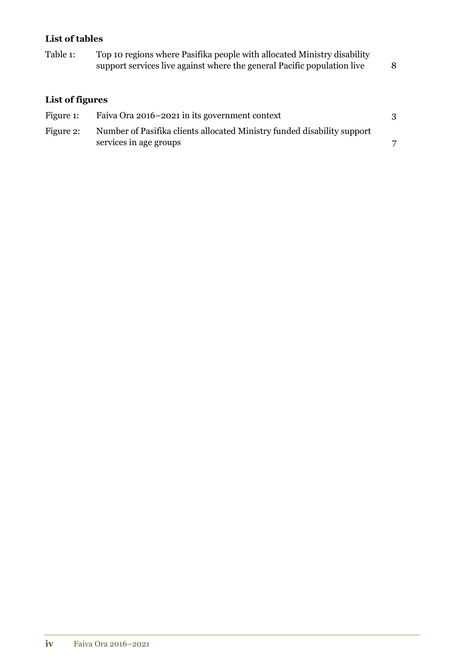### **List of tables**

| Table 1:        | Top 10 regions where Pasifika people with allocated Ministry disability<br>support services live against where the general Pacific population live | 8 |
|-----------------|----------------------------------------------------------------------------------------------------------------------------------------------------|---|
| List of figures |                                                                                                                                                    |   |
| Figure 1:       | Faiva Ora 2016–2021 in its government context                                                                                                      |   |
| Figure 2:       | Number of Pasifika clients allocated Ministry funded disability support<br>services in age groups                                                  | 7 |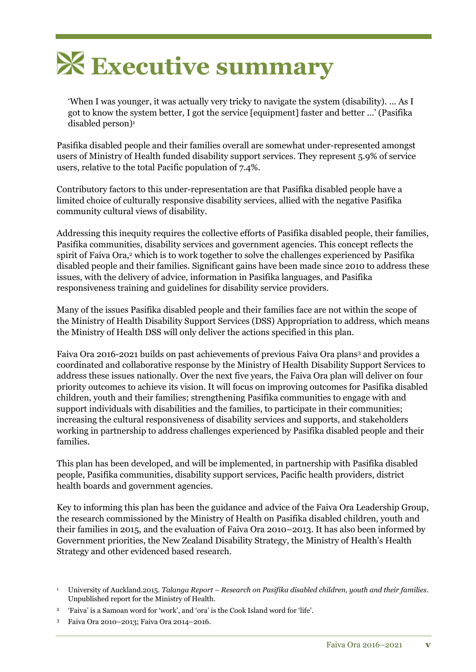

'When I was younger, it was actually very tricky to navigate the system (disability). ... As I got to know the system better, I got the service [equipment] faster and better ...' (Pasifika disabled person)<sup>1</sup>

Pasifika disabled people and their families overall are somewhat under-represented amongst users of Ministry of Health funded disability support services. They represent 5.9% of service users, relative to the total Pacific population of 7.4%.

Contributory factors to this under-representation are that Pasifika disabled people have a limited choice of culturally responsive disability services, allied with the negative Pasifika community cultural views of disability.

Addressing this inequity requires the collective efforts of Pasifika disabled people, their families, Pasifika communities, disability services and government agencies. This concept reflects the spirit of Faiva Ora,<sup>2</sup> which is to work together to solve the challenges experienced by Pasifika disabled people and their families. Significant gains have been made since 2010 to address these issues, with the delivery of advice, information in Pasifika languages, and Pasifika responsiveness training and guidelines for disability service providers.

Many of the issues Pasifika disabled people and their families face are not within the scope of the Ministry of Health Disability Support Services (DSS) Appropriation to address, which means the Ministry of Health DSS will only deliver the actions specified in this plan.

Faiva Ora 2016-2021 builds on past achievements of previous Faiva Ora plans<sup>3</sup> and provides a coordinated and collaborative response by the Ministry of Health Disability Support Services to address these issues nationally. Over the next five years, the Faiva Ora plan will deliver on four priority outcomes to achieve its vision. It will focus on improving outcomes for Pasifika disabled children, youth and their families; strengthening Pasifika communities to engage with and support individuals with disabilities and the families, to participate in their communities; increasing the cultural responsiveness of disability services and supports, and stakeholders working in partnership to address challenges experienced by Pasifika disabled people and their families.

This plan has been developed, and will be implemented, in partnership with Pasifika disabled people, Pasifika communities, disability support services, Pacific health providers, district health boards and government agencies.

Key to informing this plan has been the guidance and advice of the Faiva Ora Leadership Group, the research commissioned by the Ministry of Health on Pasifika disabled children, youth and their families in 2015, and the evaluation of Faiva Ora 2010–2013. It has also been informed by Government priorities, the New Zealand Disability Strategy, the Ministry of Health's Health Strategy and other evidenced based research.

- 2 'Faiva' is a Samoan word for 'work', and 'ora' is the Cook Island word for 'life'.
- <sup>3</sup> Faiva Ora 2010–2013; Faiva Ora 2014–2016.

<sup>1</sup> University of Auckland.2015. *Talanga Report – Research on Pasifika disabled children, youth and their families*. Unpublished report for the Ministry of Health.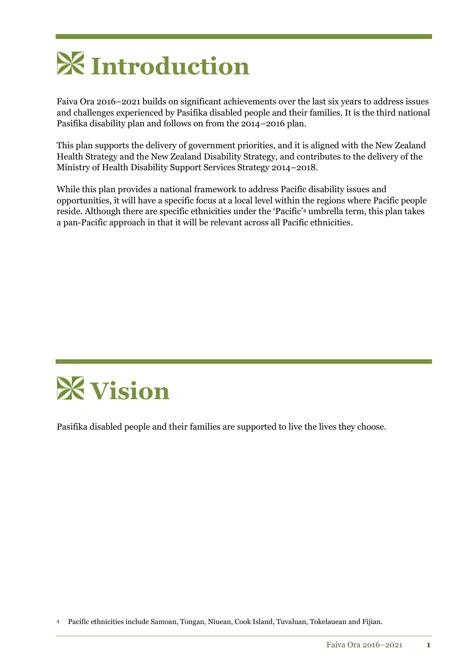

Faiva Ora 2016–2021 builds on significant achievements over the last six years to address issues and challenges experienced by Pasifika disabled people and their families. It is the third national Pasifika disability plan and follows on from the 2014–2016 plan.

This plan supports the delivery of government priorities, and it is aligned with the New Zealand Health Strategy and the New Zealand Disability Strategy, and contributes to the delivery of the Ministry of Health Disability Support Services Strategy 2014–2018.

While this plan provides a national framework to address Pacific disability issues and opportunities, it will have a specific focus at a local level within the regions where Pacific people reside. Although there are specific ethnicities under the 'Pacific' <sup>4</sup> umbrella term, this plan takes a pan-Pacific approach in that it will be relevant across all Pacific ethnicities.



Pasifika disabled people and their families are supported to live the lives they choose.

<sup>4</sup> Pacific ethnicities include Samoan, Tongan, Niuean, Cook Island, Tuvaluan, Tokelauean and Fijian.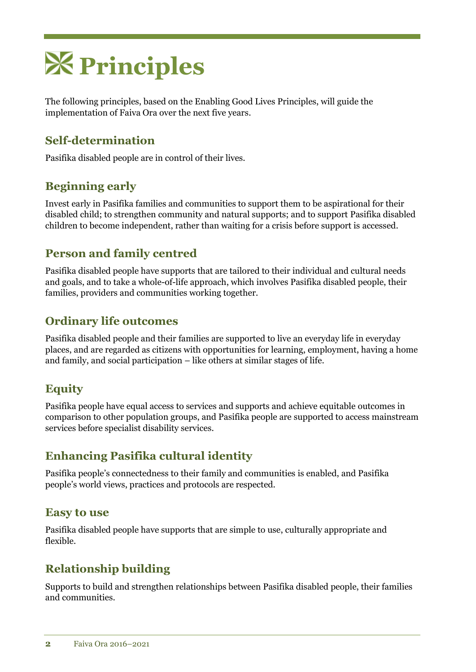

The following principles, based on the Enabling Good Lives Principles, will guide the implementation of Faiva Ora over the next five years.

### **Self-determination**

Pasifika disabled people are in control of their lives.

### **Beginning early**

Invest early in Pasifika families and communities to support them to be aspirational for their disabled child; to strengthen community and natural supports; and to support Pasifika disabled children to become independent, rather than waiting for a crisis before support is accessed.

### **Person and family centred**

Pasifika disabled people have supports that are tailored to their individual and cultural needs and goals, and to take a whole-of-life approach, which involves Pasifika disabled people, their families, providers and communities working together.

### **Ordinary life outcomes**

Pasifika disabled people and their families are supported to live an everyday life in everyday places, and are regarded as citizens with opportunities for learning, employment, having a home and family, and social participation – like others at similar stages of life.

### **Equity**

Pasifika people have equal access to services and supports and achieve equitable outcomes in comparison to other population groups, and Pasifika people are supported to access mainstream services before specialist disability services.

### **Enhancing Pasifika cultural identity**

Pasifika people's connectedness to their family and communities is enabled, and Pasifika people's world views, practices and protocols are respected.

### **Easy to use**

Pasifika disabled people have supports that are simple to use, culturally appropriate and flexible.

### **Relationship building**

Supports to build and strengthen relationships between Pasifika disabled people, their families and communities.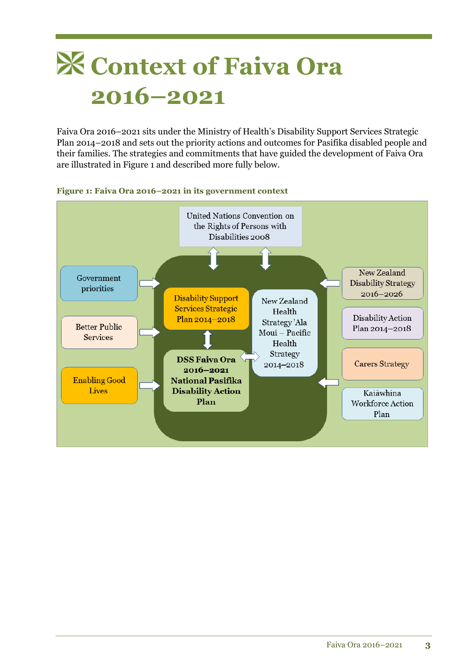## **Context of Faiva Ora 2016–2021**

Faiva Ora 2016–2021 sits under the Ministry of Health's Disability Support Services Strategic Plan 2014–2018 and sets out the priority actions and outcomes for Pasifika disabled people and their families. The strategies and commitments that have guided the development of Faiva Ora are illustrated in Figure 1 and described more fully below.



#### **Figure 1: Faiva Ora 2016–2021 in its government context**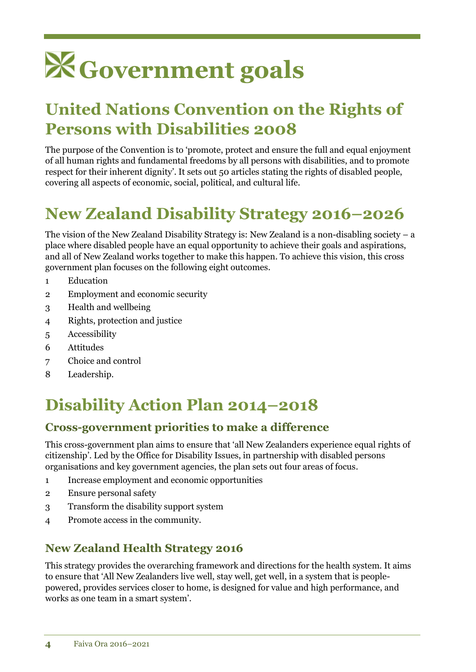# **Government goals**

### **United Nations Convention on the Rights of Persons with Disabilities 2008**

The purpose of the Convention is to 'promote, protect and ensure the full and equal enjoyment of all human rights and fundamental freedoms by all persons with disabilities, and to promote respect for their inherent dignity'. It sets out 50 articles stating the rights of disabled people, covering all aspects of economic, social, political, and cultural life.

## **New Zealand Disability Strategy 2016–2026**

The vision of the New Zealand Disability Strategy is: New Zealand is a non-disabling society – a place where disabled people have an equal opportunity to achieve their goals and aspirations, and all of New Zealand works together to make this happen. To achieve this vision, this cross government plan focuses on the following eight outcomes.

- 1 Education
- 2 Employment and economic security
- 3 Health and wellbeing
- 4 Rights, protection and justice
- 5 Accessibility
- 6 Attitudes
- 7 Choice and control
- 8 Leadership.

### **Disability Action Plan 2014–2018**

### **Cross-government priorities to make a difference**

This cross-government plan aims to ensure that 'all New Zealanders experience equal rights of citizenship'. Led by the Office for Disability Issues, in partnership with disabled persons organisations and key government agencies, the plan sets out four areas of focus.

- 1 Increase employment and economic opportunities
- 2 Ensure personal safety
- 3 Transform the disability support system
- 4 Promote access in the community.

### **New Zealand Health Strategy 2016**

This strategy provides the overarching framework and directions for the health system. It aims to ensure that 'All New Zealanders live well, stay well, get well, in a system that is peoplepowered, provides services closer to home, is designed for value and high performance, and works as one team in a smart system'.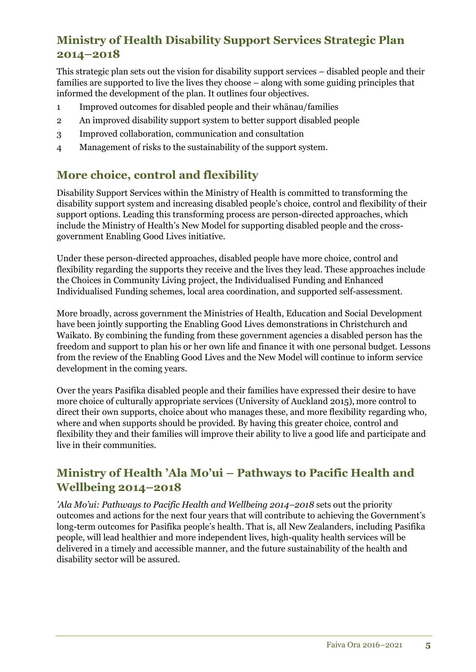### **Ministry of Health Disability Support Services Strategic Plan 2014–2018**

This strategic plan sets out the vision for disability support services – disabled people and their families are supported to live the lives they choose – along with some guiding principles that informed the development of the plan. It outlines four objectives.

- 1 Improved outcomes for disabled people and their whānau/families
- 2 An improved disability support system to better support disabled people
- 3 Improved collaboration, communication and consultation
- 4 Management of risks to the sustainability of the support system.

### **More choice, control and flexibility**

Disability Support Services within the Ministry of Health is committed to transforming the disability support system and increasing disabled people's choice, control and flexibility of their support options. Leading this transforming process are person-directed approaches, which include the Ministry of Health's New Model for supporting disabled people and the crossgovernment Enabling Good Lives initiative.

Under these person-directed approaches, disabled people have more choice, control and flexibility regarding the supports they receive and the lives they lead. These approaches include the Choices in Community Living project, the Individualised Funding and Enhanced Individualised Funding schemes, local area coordination, and supported self-assessment.

More broadly, across government the Ministries of Health, Education and Social Development have been jointly supporting the Enabling Good Lives demonstrations in Christchurch and Waikato. By combining the funding from these government agencies a disabled person has the freedom and support to plan his or her own life and finance it with one personal budget. Lessons from the review of the Enabling Good Lives and the New Model will continue to inform service development in the coming years.

Over the years Pasifika disabled people and their families have expressed their desire to have more choice of culturally appropriate services (University of Auckland 2015), more control to direct their own supports, choice about who manages these, and more flexibility regarding who, where and when supports should be provided. By having this greater choice, control and flexibility they and their families will improve their ability to live a good life and participate and live in their communities.

### **Ministry of Health 'Ala Mo'ui – Pathways to Pacific Health and Wellbeing 2014–2018**

*'Ala Mo'ui: Pathways to Pacific Health and Wellbeing 2014–2018* sets out the priority outcomes and actions for the next four years that will contribute to achieving the Government's long-term outcomes for Pasifika people's health. That is, all New Zealanders, including Pasifika people, will lead healthier and more independent lives, high-quality health services will be delivered in a timely and accessible manner, and the future sustainability of the health and disability sector will be assured.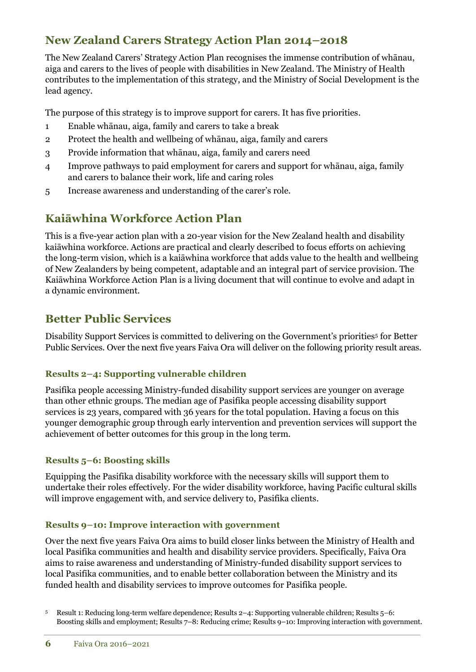### **New Zealand Carers Strategy Action Plan 2014–2018**

The New Zealand Carers' Strategy Action Plan recognises the immense contribution of whānau, aiga and carers to the lives of people with disabilities in New Zealand. The Ministry of Health contributes to the implementation of this strategy, and the Ministry of Social Development is the lead agency.

The purpose of this strategy is to improve support for carers. It has five priorities.

- 1 Enable whānau, aiga, family and carers to take a break
- 2 Protect the health and wellbeing of whānau, aiga, family and carers
- 3 Provide information that whānau, aiga, family and carers need
- 4 Improve pathways to paid employment for carers and support for whānau, aiga, family and carers to balance their work, life and caring roles
- 5 Increase awareness and understanding of the carer's role.

### **Kaiāwhina Workforce Action Plan**

This is a five-year action plan with a 20-year vision for the New Zealand health and disability kaiāwhina workforce. Actions are practical and clearly described to focus efforts on achieving the long-term vision, which is a kaiāwhina workforce that adds value to the health and wellbeing of New Zealanders by being competent, adaptable and an integral part of service provision. The Kaiāwhina Workforce Action Plan is a living document that will continue to evolve and adapt in a dynamic environment.

### **Better Public Services**

Disability Support Services is committed to delivering on the Government's priorities<sup>5</sup> for Better Public Services. Over the next five years Faiva Ora will deliver on the following priority result areas.

### **Results 2–4: Supporting vulnerable children**

Pasifika people accessing Ministry-funded disability support services are younger on average than other ethnic groups. The median age of Pasifika people accessing disability support services is 23 years, compared with 36 years for the total population. Having a focus on this younger demographic group through early intervention and prevention services will support the achievement of better outcomes for this group in the long term.

### **Results 5–6: Boosting skills**

Equipping the Pasifika disability workforce with the necessary skills will support them to undertake their roles effectively. For the wider disability workforce, having Pacific cultural skills will improve engagement with, and service delivery to, Pasifika clients.

#### **Results 9–10: Improve interaction with government**

Over the next five years Faiva Ora aims to build closer links between the Ministry of Health and local Pasifika communities and health and disability service providers. Specifically, Faiva Ora aims to raise awareness and understanding of Ministry-funded disability support services to local Pasifika communities, and to enable better collaboration between the Ministry and its funded health and disability services to improve outcomes for Pasifika people.

<sup>5</sup> Result 1: Reducing long-term welfare dependence; Results 2–4: Supporting vulnerable children; Results 5–6: Boosting skills and employment; Results 7–8: Reducing crime; Results 9–10: Improving interaction with government.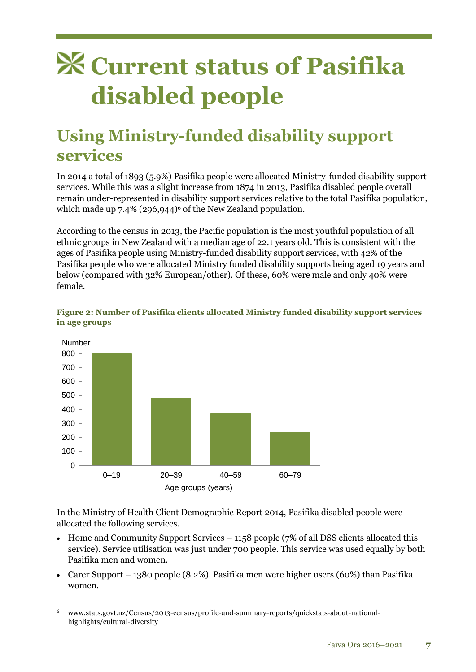## **Current status of Pasifika disabled people**

### **Using Ministry-funded disability support services**

In 2014 a total of 1893 (5.9%) Pasifika people were allocated Ministry-funded disability support services. While this was a slight increase from 1874 in 2013, Pasifika disabled people overall remain under-represented in disability support services relative to the total Pasifika population, which made up  $7.4\%$  (296,944)<sup>6</sup> of the New Zealand population.

According to the census in 2013, the Pacific population is the most youthful population of all ethnic groups in New Zealand with a median age of 22.1 years old. This is consistent with the ages of Pasifika people using Ministry-funded disability support services, with 42% of the Pasifika people who were allocated Ministry funded disability supports being aged 19 years and below (compared with 32% European/other). Of these, 60% were male and only 40% were female.





In the Ministry of Health Client Demographic Report 2014, Pasifika disabled people were allocated the following services.

- $\bullet$  Home and Community Support Services 1158 people (7% of all DSS clients allocated this service). Service utilisation was just under 700 people. This service was used equally by both Pasifika men and women.
- Carer Support 1380 people  $(8.2\%)$ . Pasifika men were higher users  $(60\%)$  than Pasifika women.
- <sup>6</sup> www.stats.govt.nz/Census/2013-census/profile-and-summary-reports/quickstats-about-nationalhighlights/cultural-diversity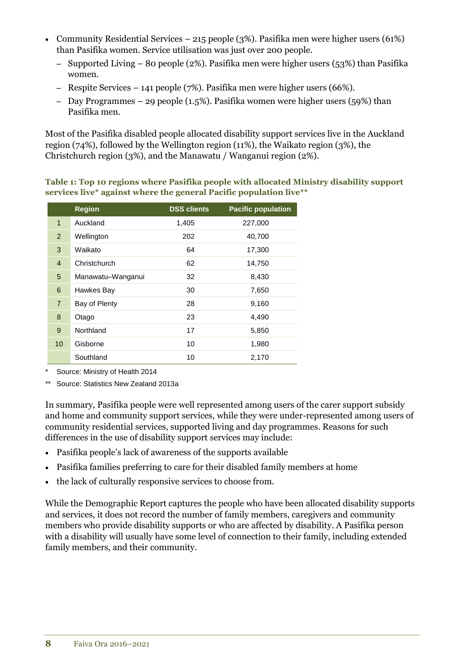- Community Residential Services 215 people (3%). Pasifika men were higher users (61%) than Pasifika women. Service utilisation was just over 200 people.
	- Supported Living 80 people (2%). Pasifika men were higher users (53%) than Pasifika women.
	- Respite Services 141 people (7%). Pasifika men were higher users (66%).
	- Day Programmes 29 people (1.5%). Pasifika women were higher users (59%) than Pasifika men.

Most of the Pasifika disabled people allocated disability support services live in the Auckland region (74%), followed by the Wellington region (11%), the Waikato region (3%), the Christchurch region (3%), and the Manawatu / Wanganui region (2%).

**Table 1: Top 10 regions where Pasifika people with allocated Ministry disability support services live\* against where the general Pacific population live\*\***

|                | <b>Region</b>     | <b>DSS clients</b> | <b>Pacific population</b> |
|----------------|-------------------|--------------------|---------------------------|
| $\mathbf{1}$   | Auckland          | 1,405              | 227,000                   |
| $\overline{2}$ | Wellington        | 202                | 40,700                    |
| 3              | Waikato           | 64                 | 17,300                    |
| $\overline{4}$ | Christchurch      | 62                 | 14,750                    |
| 5              | Manawatu-Wanganui | 32                 | 8,430                     |
| 6              | Hawkes Bay        | 30                 | 7,650                     |
| $\overline{7}$ | Bay of Plenty     | 28                 | 9,160                     |
| 8              | Otago             | 23                 | 4,490                     |
| 9              | Northland         | 17                 | 5,850                     |
| 10             | Gisborne          | 10                 | 1,980                     |
|                | Southland         | 10                 | 2,170                     |

\* Source: Ministry of Health 2014

\*\* Source: Statistics New Zealand 2013a

In summary, Pasifika people were well represented among users of the carer support subsidy and home and community support services, while they were under-represented among users of community residential services, supported living and day programmes. Reasons for such differences in the use of disability support services may include:

- Pasifika people's lack of awareness of the supports available
- Pasifika families preferring to care for their disabled family members at home
- the lack of culturally responsive services to choose from.

While the Demographic Report captures the people who have been allocated disability supports and services, it does not record the number of family members, caregivers and community members who provide disability supports or who are affected by disability. A Pasifika person with a disability will usually have some level of connection to their family, including extended family members, and their community.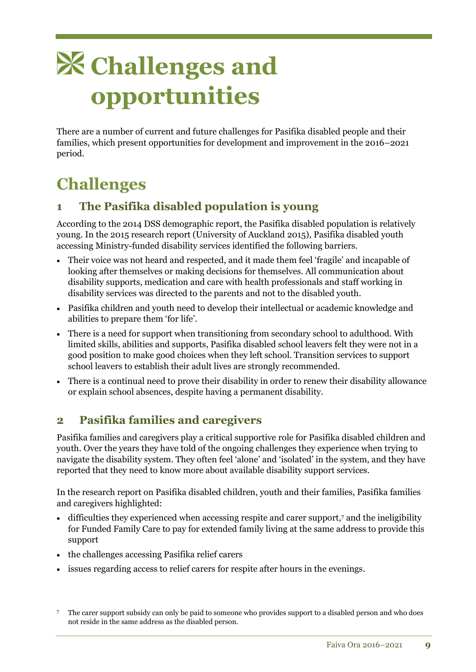## **Challenges and opportunities**

There are a number of current and future challenges for Pasifika disabled people and their families, which present opportunities for development and improvement in the 2016–2021 period.

### **Challenges**

### **1 The Pasifika disabled population is young**

According to the 2014 DSS demographic report, the Pasifika disabled population is relatively young. In the 2015 research report (University of Auckland 2015), Pasifika disabled youth accessing Ministry-funded disability services identified the following barriers.

- Their voice was not heard and respected, and it made them feel 'fragile' and incapable of looking after themselves or making decisions for themselves. All communication about disability supports, medication and care with health professionals and staff working in disability services was directed to the parents and not to the disabled youth.
- Pasifika children and youth need to develop their intellectual or academic knowledge and abilities to prepare them 'for life'.
- There is a need for support when transitioning from secondary school to adulthood. With limited skills, abilities and supports, Pasifika disabled school leavers felt they were not in a good position to make good choices when they left school. Transition services to support school leavers to establish their adult lives are strongly recommended.
- There is a continual need to prove their disability in order to renew their disability allowance or explain school absences, despite having a permanent disability.

### **2 Pasifika families and caregivers**

Pasifika families and caregivers play a critical supportive role for Pasifika disabled children and youth. Over the years they have told of the ongoing challenges they experience when trying to navigate the disability system. They often feel 'alone' and 'isolated' in the system, and they have reported that they need to know more about available disability support services.

In the research report on Pasifika disabled children, youth and their families, Pasifika families and caregivers highlighted:

- difficulties they experienced when accessing respite and carer support, <sup>7</sup> and the ineligibility for Funded Family Care to pay for extended family living at the same address to provide this support
- the challenges accessing Pasifika relief carers
- issues regarding access to relief carers for respite after hours in the evenings.

<sup>7</sup> The carer support subsidy can only be paid to someone who provides support to a disabled person and who does not reside in the same address as the disabled person.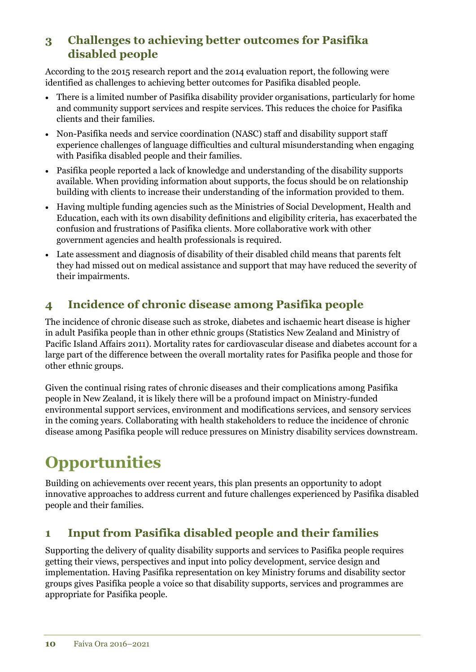### **3 Challenges to achieving better outcomes for Pasifika disabled people**

According to the 2015 research report and the 2014 evaluation report, the following were identified as challenges to achieving better outcomes for Pasifika disabled people.

- There is a limited number of Pasifika disability provider organisations, particularly for home and community support services and respite services. This reduces the choice for Pasifika clients and their families.
- Non-Pasifika needs and service coordination (NASC) staff and disability support staff experience challenges of language difficulties and cultural misunderstanding when engaging with Pasifika disabled people and their families.
- Pasifika people reported a lack of knowledge and understanding of the disability supports available. When providing information about supports, the focus should be on relationship building with clients to increase their understanding of the information provided to them.
- Having multiple funding agencies such as the Ministries of Social Development, Health and Education, each with its own disability definitions and eligibility criteria, has exacerbated the confusion and frustrations of Pasifika clients. More collaborative work with other government agencies and health professionals is required.
- Late assessment and diagnosis of disability of their disabled child means that parents felt they had missed out on medical assistance and support that may have reduced the severity of their impairments.

### **4 Incidence of chronic disease among Pasifika people**

The incidence of chronic disease such as stroke, diabetes and ischaemic heart disease is higher in adult Pasifika people than in other ethnic groups (Statistics New Zealand and Ministry of Pacific Island Affairs 2011). Mortality rates for cardiovascular disease and diabetes account for a large part of the difference between the overall mortality rates for Pasifika people and those for other ethnic groups.

Given the continual rising rates of chronic diseases and their complications among Pasifika people in New Zealand, it is likely there will be a profound impact on Ministry-funded environmental support services, environment and modifications services, and sensory services in the coming years. Collaborating with health stakeholders to reduce the incidence of chronic disease among Pasifika people will reduce pressures on Ministry disability services downstream.

## **Opportunities**

Building on achievements over recent years, this plan presents an opportunity to adopt innovative approaches to address current and future challenges experienced by Pasifika disabled people and their families.

### **1 Input from Pasifika disabled people and their families**

Supporting the delivery of quality disability supports and services to Pasifika people requires getting their views, perspectives and input into policy development, service design and implementation. Having Pasifika representation on key Ministry forums and disability sector groups gives Pasifika people a voice so that disability supports, services and programmes are appropriate for Pasifika people.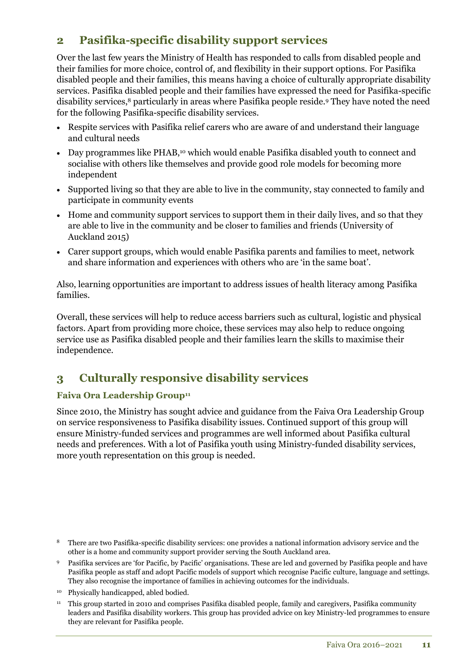### **2 Pasifika-specific disability support services**

Over the last few years the Ministry of Health has responded to calls from disabled people and their families for more choice, control of, and flexibility in their support options. For Pasifika disabled people and their families, this means having a choice of culturally appropriate disability services. Pasifika disabled people and their families have expressed the need for Pasifika-specific disability services,<sup>8</sup> particularly in areas where Pasifika people reside.<sup>9</sup> They have noted the need for the following Pasifika-specific disability services.

- Respite services with Pasifika relief carers who are aware of and understand their language and cultural needs
- Day programmes like PHAB,<sup>10</sup> which would enable Pasifika disabled youth to connect and socialise with others like themselves and provide good role models for becoming more independent
- Supported living so that they are able to live in the community, stay connected to family and participate in community events
- Home and community support services to support them in their daily lives, and so that they are able to live in the community and be closer to families and friends (University of Auckland 2015)
- Carer support groups, which would enable Pasifika parents and families to meet, network and share information and experiences with others who are 'in the same boat'.

Also, learning opportunities are important to address issues of health literacy among Pasifika families.

Overall, these services will help to reduce access barriers such as cultural, logistic and physical factors. Apart from providing more choice, these services may also help to reduce ongoing service use as Pasifika disabled people and their families learn the skills to maximise their independence.

### **3 Culturally responsive disability services**

### **Faiva Ora Leadership Group<sup>11</sup>**

Since 2010, the Ministry has sought advice and guidance from the Faiva Ora Leadership Group on service responsiveness to Pasifika disability issues. Continued support of this group will ensure Ministry-funded services and programmes are well informed about Pasifika cultural needs and preferences. With a lot of Pasifika youth using Ministry-funded disability services, more youth representation on this group is needed.

- <sup>8</sup> There are two Pasifika-specific disability services: one provides a national information advisory service and the other is a home and community support provider serving the South Auckland area.
- <sup>9</sup> Pasifika services are 'for Pacific, by Pacific' organisations. These are led and governed by Pasifika people and have Pasifika people as staff and adopt Pacific models of support which recognise Pacific culture, language and settings. They also recognise the importance of families in achieving outcomes for the individuals.
- <sup>10</sup> Physically handicapped, abled bodied.
- <sup>11</sup> This group started in 2010 and comprises Pasifika disabled people, family and caregivers, Pasifika community leaders and Pasifika disability workers. This group has provided advice on key Ministry-led programmes to ensure they are relevant for Pasifika people.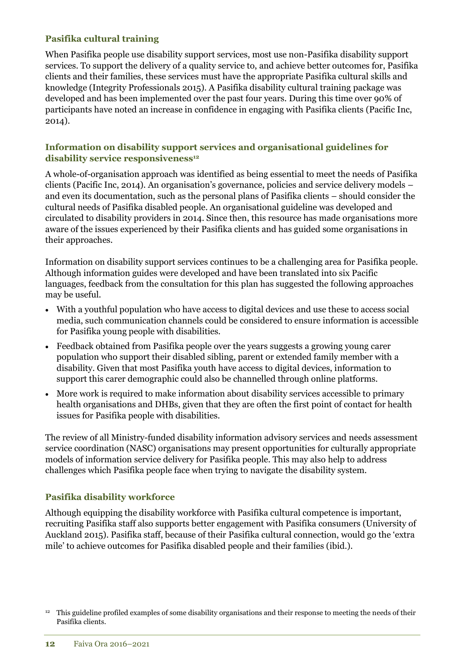#### **Pasifika cultural training**

When Pasifika people use disability support services, most use non-Pasifika disability support services. To support the delivery of a quality service to, and achieve better outcomes for, Pasifika clients and their families, these services must have the appropriate Pasifika cultural skills and knowledge (Integrity Professionals 2015). A Pasifika disability cultural training package was developed and has been implemented over the past four years. During this time over 90% of participants have noted an increase in confidence in engaging with Pasifika clients (Pacific Inc, 2014).

#### **Information on disability support services and organisational guidelines for disability service responsiveness<sup>12</sup>**

A whole-of-organisation approach was identified as being essential to meet the needs of Pasifika clients (Pacific Inc, 2014). An organisation's governance, policies and service delivery models – and even its documentation, such as the personal plans of Pasifika clients – should consider the cultural needs of Pasifika disabled people. An organisational guideline was developed and circulated to disability providers in 2014. Since then, this resource has made organisations more aware of the issues experienced by their Pasifika clients and has guided some organisations in their approaches.

Information on disability support services continues to be a challenging area for Pasifika people. Although information guides were developed and have been translated into six Pacific languages, feedback from the consultation for this plan has suggested the following approaches may be useful.

- With a youthful population who have access to digital devices and use these to access social media, such communication channels could be considered to ensure information is accessible for Pasifika young people with disabilities.
- Feedback obtained from Pasifika people over the years suggests a growing young carer population who support their disabled sibling, parent or extended family member with a disability. Given that most Pasifika youth have access to digital devices, information to support this carer demographic could also be channelled through online platforms.
- More work is required to make information about disability services accessible to primary health organisations and DHBs, given that they are often the first point of contact for health issues for Pasifika people with disabilities.

The review of all Ministry-funded disability information advisory services and needs assessment service coordination (NASC) organisations may present opportunities for culturally appropriate models of information service delivery for Pasifika people. This may also help to address challenges which Pasifika people face when trying to navigate the disability system.

### **Pasifika disability workforce**

Although equipping the disability workforce with Pasifika cultural competence is important, recruiting Pasifika staff also supports better engagement with Pasifika consumers (University of Auckland 2015). Pasifika staff, because of their Pasifika cultural connection, would go the 'extra mile' to achieve outcomes for Pasifika disabled people and their families (ibid.).

<sup>&</sup>lt;sup>12</sup> This guideline profiled examples of some disability organisations and their response to meeting the needs of their Pasifika clients.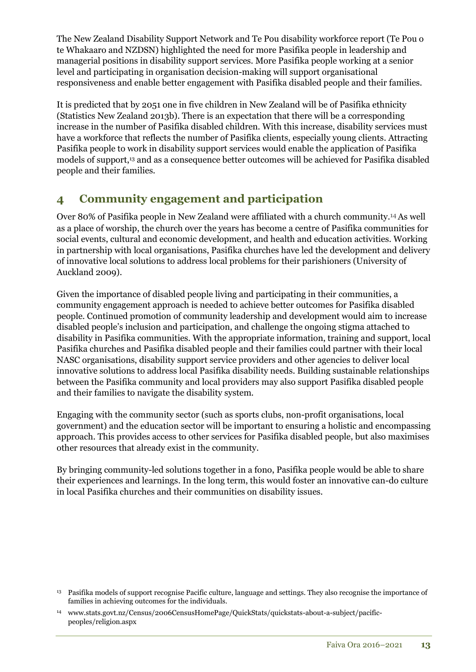The New Zealand Disability Support Network and Te Pou disability workforce report (Te Pou o te Whakaaro and NZDSN) highlighted the need for more Pasifika people in leadership and managerial positions in disability support services. More Pasifika people working at a senior level and participating in organisation decision-making will support organisational responsiveness and enable better engagement with Pasifika disabled people and their families.

It is predicted that by 2051 one in five children in New Zealand will be of Pasifika ethnicity (Statistics New Zealand 2013b). There is an expectation that there will be a corresponding increase in the number of Pasifika disabled children. With this increase, disability services must have a workforce that reflects the number of Pasifika clients, especially young clients. Attracting Pasifika people to work in disability support services would enable the application of Pasifika models of support,<sup>13</sup> and as a consequence better outcomes will be achieved for Pasifika disabled people and their families.

### **4 Community engagement and participation**

Over 80% of Pasifika people in New Zealand were affiliated with a church community.14As well as a place of worship, the church over the years has become a centre of Pasifika communities for social events, cultural and economic development, and health and education activities. Working in partnership with local organisations, Pasifika churches have led the development and delivery of innovative local solutions to address local problems for their parishioners (University of Auckland 2009).

Given the importance of disabled people living and participating in their communities, a community engagement approach is needed to achieve better outcomes for Pasifika disabled people. Continued promotion of community leadership and development would aim to increase disabled people's inclusion and participation, and challenge the ongoing stigma attached to disability in Pasifika communities. With the appropriate information, training and support, local Pasifika churches and Pasifika disabled people and their families could partner with their local NASC organisations, disability support service providers and other agencies to deliver local innovative solutions to address local Pasifika disability needs. Building sustainable relationships between the Pasifika community and local providers may also support Pasifika disabled people and their families to navigate the disability system.

Engaging with the community sector (such as sports clubs, non-profit organisations, local government) and the education sector will be important to ensuring a holistic and encompassing approach. This provides access to other services for Pasifika disabled people, but also maximises other resources that already exist in the community.

By bringing community-led solutions together in a fono, Pasifika people would be able to share their experiences and learnings. In the long term, this would foster an innovative can-do culture in local Pasifika churches and their communities on disability issues.

<sup>13</sup> Pasifika models of support recognise Pacific culture, language and settings. They also recognise the importance of families in achieving outcomes for the individuals.

<sup>14</sup> www.stats.govt.nz/Census/2006CensusHomePage/QuickStats/quickstats-about-a-subject/pacificpeoples/religion.aspx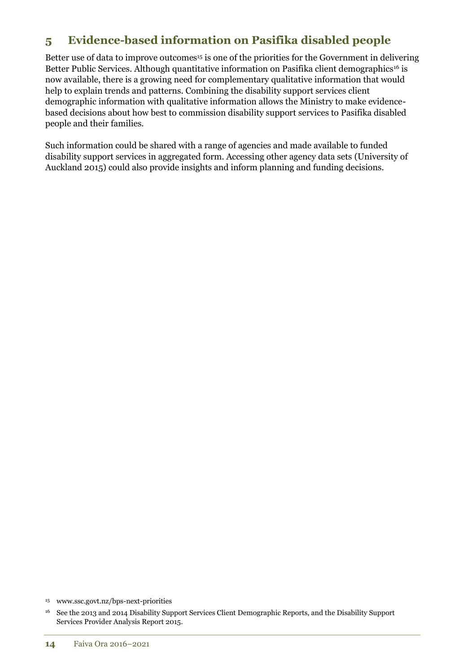### **5 Evidence-based information on Pasifika disabled people**

Better use of data to improve outcomes<sup>15</sup> is one of the priorities for the Government in delivering Better Public Services. Although quantitative information on Pasifika client demographics<sup>16</sup> is now available, there is a growing need for complementary qualitative information that would help to explain trends and patterns. Combining the disability support services client demographic information with qualitative information allows the Ministry to make evidencebased decisions about how best to commission disability support services to Pasifika disabled people and their families.

Such information could be shared with a range of agencies and made available to funded disability support services in aggregated form. Accessing other agency data sets (University of Auckland 2015) could also provide insights and inform planning and funding decisions.

<sup>15</sup> www.ssc.govt.nz/bps-next-priorities

<sup>16</sup> See the 2013 and 2014 Disability Support Services Client Demographic Reports, and the Disability Support Services Provider Analysis Report 2015.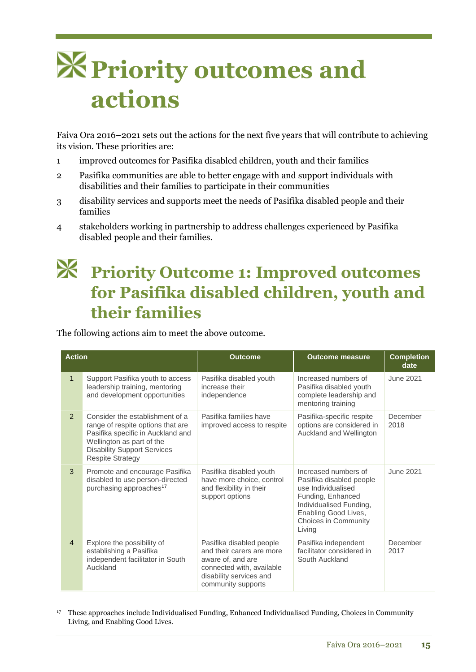## **Priority outcomes and actions**

Faiva Ora 2016–2021 sets out the actions for the next five years that will contribute to achieving its vision. These priorities are:

- 1 improved outcomes for Pasifika disabled children, youth and their families
- 2 Pasifika communities are able to better engage with and support individuals with disabilities and their families to participate in their communities
- 3 disability services and supports meet the needs of Pasifika disabled people and their families
- 4 stakeholders working in partnership to address challenges experienced by Pasifika disabled people and their families.

## **Priority Outcome 1: Improved outcomes for Pasifika disabled children, youth and their families**

The following actions aim to meet the above outcome.

| <b>Action</b>  |                                                                                                                                                                                                         | <b>Outcome</b>                                                                                                                                           | <b>Outcome measure</b>                                                                                                                                                           | <b>Completion</b><br>date |
|----------------|---------------------------------------------------------------------------------------------------------------------------------------------------------------------------------------------------------|----------------------------------------------------------------------------------------------------------------------------------------------------------|----------------------------------------------------------------------------------------------------------------------------------------------------------------------------------|---------------------------|
| $\mathbf{1}$   | Support Pasifika youth to access<br>leadership training, mentoring<br>and development opportunities                                                                                                     | Pasifika disabled youth<br>increase their<br>independence                                                                                                | Increased numbers of<br>Pasifika disabled youth<br>complete leadership and<br>mentoring training                                                                                 | June 2021                 |
| $\overline{2}$ | Consider the establishment of a<br>range of respite options that are<br>Pasifika specific in Auckland and<br>Wellington as part of the<br><b>Disability Support Services</b><br><b>Respite Strategy</b> | Pasifika families have<br>improved access to respite                                                                                                     | Pasifika-specific respite<br>options are considered in<br>Auckland and Wellington                                                                                                | December<br>2018          |
| 3              | Promote and encourage Pasifika<br>disabled to use person-directed<br>purchasing approaches <sup>17</sup>                                                                                                | Pasifika disabled youth<br>have more choice, control<br>and flexibility in their<br>support options                                                      | Increased numbers of<br>Pasifika disabled people<br>use Individualised<br>Funding, Enhanced<br>Individualised Funding,<br>Enabling Good Lives,<br>Choices in Community<br>Living | June 2021                 |
| $\overline{4}$ | Explore the possibility of<br>establishing a Pasifika<br>independent facilitator in South<br>Auckland                                                                                                   | Pasifika disabled people<br>and their carers are more<br>aware of, and are<br>connected with, available<br>disability services and<br>community supports | Pasifika independent<br>facilitator considered in<br>South Auckland                                                                                                              | December<br>2017          |

<sup>17</sup> These approaches include Individualised Funding, Enhanced Individualised Funding, Choices in Community Living, and Enabling Good Lives.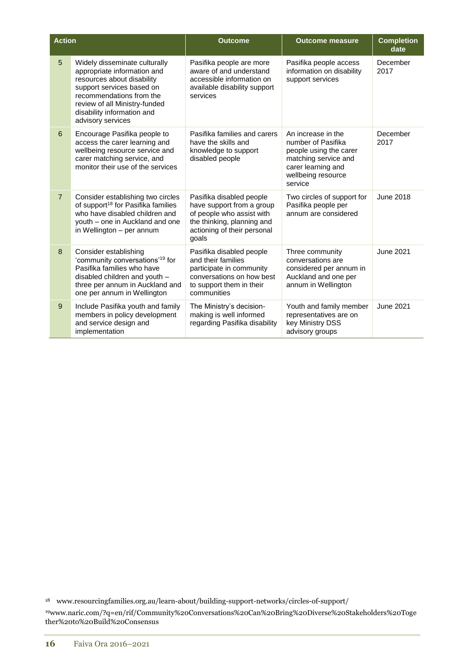| <b>Action</b>  |                                                                                                                                                                                                                                         | <b>Outcome</b>                                                                                                                                           | <b>Outcome measure</b>                                                                                                                            | <b>Completion</b><br>date |
|----------------|-----------------------------------------------------------------------------------------------------------------------------------------------------------------------------------------------------------------------------------------|----------------------------------------------------------------------------------------------------------------------------------------------------------|---------------------------------------------------------------------------------------------------------------------------------------------------|---------------------------|
| 5              | Widely disseminate culturally<br>appropriate information and<br>resources about disability<br>support services based on<br>recommendations from the<br>review of all Ministry-funded<br>disability information and<br>advisory services | Pasifika people are more<br>aware of and understand<br>accessible information on<br>available disability support<br>services                             | Pasifika people access<br>information on disability<br>support services                                                                           | December<br>2017          |
| 6              | Encourage Pasifika people to<br>access the carer learning and<br>wellbeing resource service and<br>carer matching service, and<br>monitor their use of the services                                                                     | Pasifika families and carers<br>have the skills and<br>knowledge to support<br>disabled people                                                           | An increase in the<br>number of Pasifika<br>people using the carer<br>matching service and<br>carer learning and<br>wellbeing resource<br>service | December<br>2017          |
| $\overline{7}$ | Consider establishing two circles<br>of support <sup>18</sup> for Pasifika families<br>who have disabled children and<br>youth - one in Auckland and one<br>in Wellington - per annum                                                   | Pasifika disabled people<br>have support from a group<br>of people who assist with<br>the thinking, planning and<br>actioning of their personal<br>qoals | Two circles of support for<br>Pasifika people per<br>annum are considered                                                                         | June 2018                 |
| 8              | Consider establishing<br>'community conversations' <sup>19</sup> for<br>Pasifika families who have<br>disabled children and youth -<br>three per annum in Auckland and<br>one per annum in Wellington                                   | Pasifika disabled people<br>and their families<br>participate in community<br>conversations on how best<br>to support them in their<br>communities       | Three community<br>conversations are<br>considered per annum in<br>Auckland and one per<br>annum in Wellington                                    | <b>June 2021</b>          |
| 9              | Include Pasifika youth and family<br>members in policy development<br>and service design and<br>implementation                                                                                                                          | The Ministry's decision-<br>making is well informed<br>regarding Pasifika disability                                                                     | Youth and family member<br>representatives are on<br>key Ministry DSS<br>advisory groups                                                          | June 2021                 |

<sup>18</sup> [www.resourcingfamilies.org.au/learn-about/building-support-networks/circles-of-support/](http://www.resourcingfamilies.org.au/learn-about/building-support-networks/circles-of-support)

<sup>19</sup>[www.naric.com/?q=en/rif/Community%20Conversations%20Can%20Bring%20Diverse%20Stakeholders%20Toge](http://www.naric.com/?q=en/rif/Community%20Conversations%20Can%20Bring%20Diverse%20Stakeholders%20Together%20to%20Build%20Consensus) [ther%20to%20Build%20Consensus](http://www.naric.com/?q=en/rif/Community%20Conversations%20Can%20Bring%20Diverse%20Stakeholders%20Together%20to%20Build%20Consensus)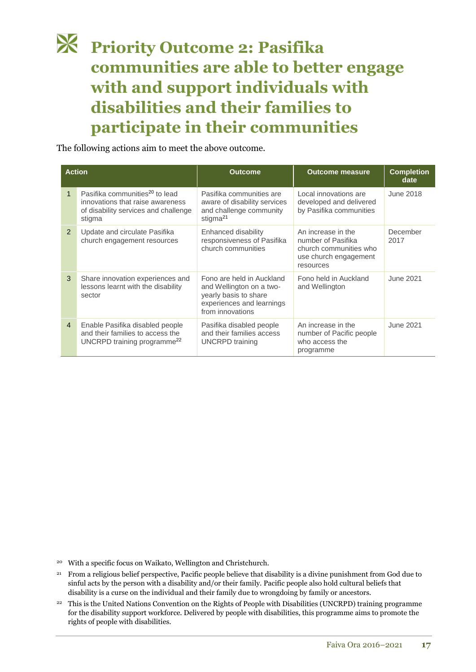### **Priority Outcome 2: Pasifika communities are able to better engage with and support individuals with disabilities and their families to participate in their communities**

The following actions aim to meet the above outcome.

| <b>Action</b>  |                                                                                                                                  | <b>Outcome</b>                                                                                                                  | <b>Outcome measure</b>                                                                                   | <b>Completion</b><br>date |
|----------------|----------------------------------------------------------------------------------------------------------------------------------|---------------------------------------------------------------------------------------------------------------------------------|----------------------------------------------------------------------------------------------------------|---------------------------|
| $\mathbf{1}$   | Pasifika communities <sup>20</sup> to lead<br>innovations that raise awareness<br>of disability services and challenge<br>stigma | Pasifika communities are<br>aware of disability services<br>and challenge community<br>stigma <sup>21</sup>                     | Local innovations are<br>developed and delivered<br>by Pasifika communities                              | June 2018                 |
| $\mathcal{P}$  | Update and circulate Pasifika<br>church engagement resources                                                                     | Enhanced disability<br>responsiveness of Pasifika<br>church communities                                                         | An increase in the<br>number of Pasifika<br>church communities who<br>use church engagement<br>resources | December<br>2017          |
| 3              | Share innovation experiences and<br>lessons learnt with the disability<br>sector                                                 | Fono are held in Auckland<br>and Wellington on a two-<br>yearly basis to share<br>experiences and learnings<br>from innovations | Fono held in Auckland<br>and Wellington                                                                  | June 2021                 |
| $\overline{4}$ | Enable Pasifika disabled people<br>and their families to access the<br>UNCRPD training programme <sup>22</sup>                   | Pasifika disabled people<br>and their families access<br><b>UNCRPD</b> training                                                 | An increase in the<br>number of Pacific people<br>who access the<br>programme                            | June 2021                 |

<sup>20</sup> With a specific focus on Waikato, Wellington and Christchurch.

- <sup>21</sup> From a religious belief perspective, Pacific people believe that disability is a divine punishment from God due to sinful acts by the person with a disability and/or their family. Pacific people also hold cultural beliefs that disability is a curse on the individual and their family due to wrongdoing by family or ancestors.
- <sup>22</sup> This is the United Nations Convention on the Rights of People with Disabilities (UNCRPD) training programme for the disability support workforce. Delivered by people with disabilities, this programme aims to promote the rights of people with disabilities.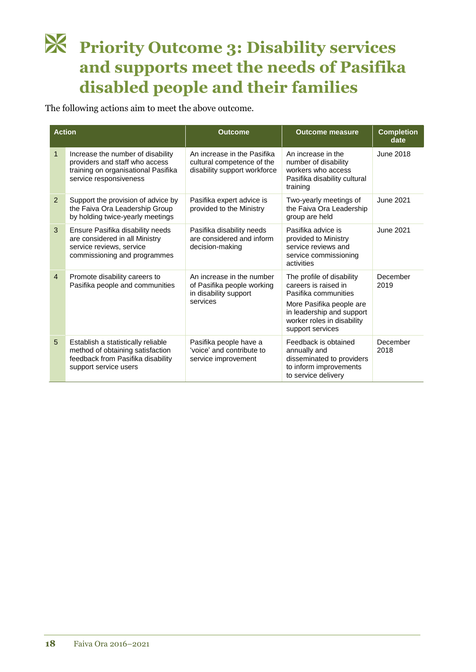## **Priority Outcome 3: Disability services and supports meet the needs of Pasifika disabled people and their families**

The following actions aim to meet the above outcome.

| <b>Action</b>  |                                                                                                                                      | <b>Outcome</b>                                                                               | <b>Outcome measure</b>                                                                                                                                                               | <b>Completion</b><br>date |
|----------------|--------------------------------------------------------------------------------------------------------------------------------------|----------------------------------------------------------------------------------------------|--------------------------------------------------------------------------------------------------------------------------------------------------------------------------------------|---------------------------|
| $\mathbf 1$    | Increase the number of disability<br>providers and staff who access<br>training on organisational Pasifika<br>service responsiveness | An increase in the Pasifika<br>cultural competence of the<br>disability support workforce    | An increase in the<br>number of disability<br>workers who access<br>Pasifika disability cultural<br>training                                                                         | <b>June 2018</b>          |
| 2              | Support the provision of advice by<br>the Faiva Ora Leadership Group<br>by holding twice-yearly meetings                             | Pasifika expert advice is<br>provided to the Ministry                                        | Two-yearly meetings of<br>the Faiva Ora Leadership<br>group are held                                                                                                                 | June 2021                 |
| 3              | Ensure Pasifika disability needs<br>are considered in all Ministry<br>service reviews, service<br>commissioning and programmes       | Pasifika disability needs<br>are considered and inform<br>decision-making                    | Pasifika advice is<br>provided to Ministry<br>service reviews and<br>service commissioning<br>activities                                                                             | <b>June 2021</b>          |
| $\overline{4}$ | Promote disability careers to<br>Pasifika people and communities                                                                     | An increase in the number<br>of Pasifika people working<br>in disability support<br>services | The profile of disability<br>careers is raised in<br>Pasifika communities<br>More Pasifika people are<br>in leadership and support<br>worker roles in disability<br>support services | December<br>2019          |
| 5              | Establish a statistically reliable<br>method of obtaining satisfaction<br>feedback from Pasifika disability<br>support service users | Pasifika people have a<br>'voice' and contribute to<br>service improvement                   | Feedback is obtained<br>annually and<br>disseminated to providers<br>to inform improvements<br>to service delivery                                                                   | December<br>2018          |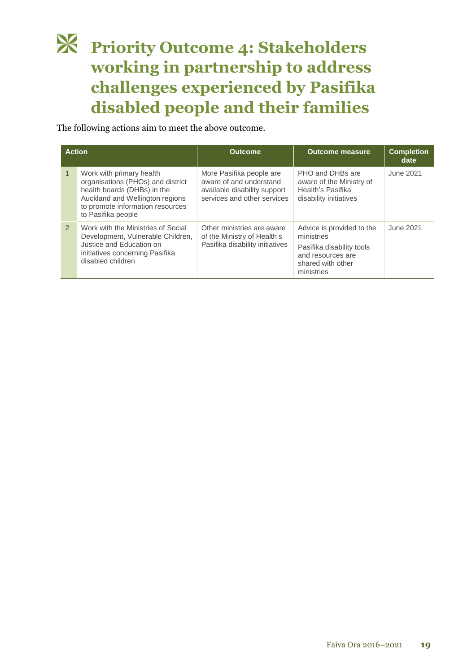## **Priority Outcome 4: Stakeholders working in partnership to address challenges experienced by Pasifika disabled people and their families**

The following actions aim to meet the above outcome.

|               | <b>Action</b>                                                                                                                                                                             | <b>Outcome</b>                                                                                                     | <b>Outcome measure</b>                                                                                                       | <b>Completion</b><br>date |
|---------------|-------------------------------------------------------------------------------------------------------------------------------------------------------------------------------------------|--------------------------------------------------------------------------------------------------------------------|------------------------------------------------------------------------------------------------------------------------------|---------------------------|
|               | Work with primary health<br>organisations (PHOs) and district<br>health boards (DHBs) in the<br>Auckland and Wellington regions<br>to promote information resources<br>to Pasifika people | More Pasifika people are<br>aware of and understand<br>available disability support<br>services and other services | PHO and DHBs are<br>aware of the Ministry of<br>Health's Pasifika<br>disability initiatives                                  | June 2021                 |
| $\mathcal{P}$ | Work with the Ministries of Social<br>Development, Vulnerable Children,<br>Justice and Education on<br>initiatives concerning Pasifika<br>disabled children                               | Other ministries are aware<br>of the Ministry of Health's<br>Pasifika disability initiatives                       | Advice is provided to the<br>ministries<br>Pasifika disability tools<br>and resources are<br>shared with other<br>ministries | June 2021                 |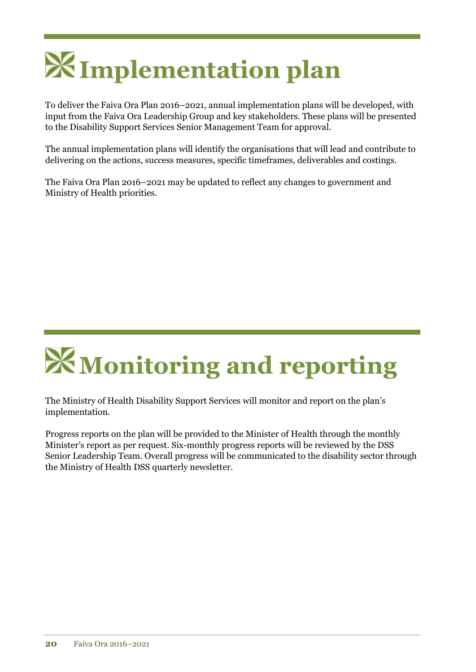# **Implementation plan**

To deliver the Faiva Ora Plan 2016–2021, annual implementation plans will be developed, with input from the Faiva Ora Leadership Group and key stakeholders. These plans will be presented to the Disability Support Services Senior Management Team for approval.

The annual implementation plans will identify the organisations that will lead and contribute to delivering on the actions, success measures, specific timeframes, deliverables and costings.

The Faiva Ora Plan 2016–2021 may be updated to reflect any changes to government and Ministry of Health priorities.

# **Monitoring and reporting**

The Ministry of Health Disability Support Services will monitor and report on the plan's implementation.

Progress reports on the plan will be provided to the Minister of Health through the monthly Minister's report as per request. Six-monthly progress reports will be reviewed by the DSS Senior Leadership Team. Overall progress will be communicated to the disability sector through the Ministry of Health DSS quarterly newsletter.